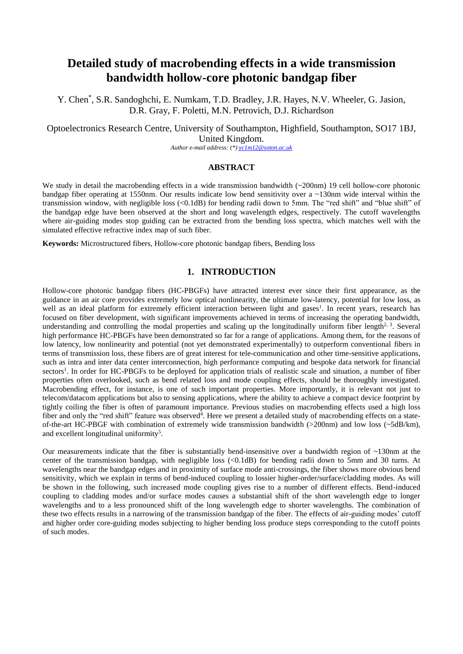# **Detailed study of macrobending effects in a wide transmission bandwidth hollow-core photonic bandgap fiber**

Y. Chen\* , S.R. Sandoghchi, E. Numkam, T.D. Bradley, J.R. Hayes, N.V. Wheeler, G. Jasion, D.R. Gray, F. Poletti, M.N. Petrovich, D.J. Richardson

Optoelectronics Research Centre, University of Southampton, Highfield, Southampton, SO17 1BJ, United Kingdom.

*Author e-mail address: (\*[\) yc1m12@soton.ac.uk](mailto:yc1m12@soton.ac.uk)*

#### **ABSTRACT**

We study in detail the macrobending effects in a wide transmission bandwidth  $(\sim 200$ nm) 19 cell hollow-core photonic bandgap fiber operating at 1550nm. Our results indicate low bend sensitivity over a ~130nm wide interval within the transmission window, with negligible loss (<0.1dB) for bending radii down to 5mm. The "red shift" and "blue shift" of the bandgap edge have been observed at the short and long wavelength edges, respectively. The cutoff wavelengths where air-guiding modes stop guiding can be extracted from the bending loss spectra, which matches well with the simulated effective refractive index map of such fiber.

**Keywords:** Microstructured fibers, Hollow-core photonic bandgap fibers, Bending loss

# **1. INTRODUCTION**

Hollow-core photonic bandgap fibers (HC-PBGFs) have attracted interest ever since their first appearance, as the guidance in an air core provides extremely low optical nonlinearity, the ultimate low-latency, potential for low loss, as well as an ideal platform for extremely efficient interaction between light and gases<sup>1</sup>. In recent years, research has focused on fiber development, with significant improvements achieved in terms of increasing the operating bandwidth, understanding and controlling the modal properties and scaling up the longitudinally uniform fiber length $2<sup>3</sup>$ . Several high performance HC-PBGFs have been demonstrated so far for a range of applications. Among them, for the reasons of low latency, low nonlinearity and potential (not yet demonstrated experimentally) to outperform conventional fibers in terms of transmission loss, these fibers are of great interest for tele-communication and other time-sensitive applications, such as intra and inter data center interconnection, high performance computing and bespoke data network for financial sectors<sup>1</sup>. In order for HC-PBGFs to be deployed for application trials of realistic scale and situation, a number of fiber properties often overlooked, such as bend related loss and mode coupling effects, should be thoroughly investigated. Macrobending effect, for instance, is one of such important properties. More importantly, it is relevant not just to telecom/datacom applications but also to sensing applications, where the ability to achieve a compact device footprint by tightly coiling the fiber is often of paramount importance. Previous studies on macrobending effects used a high loss fiber and only the "red shift" feature was observed<sup>4</sup>. Here we present a detailed study of macrobending effects on a stateof-the-art HC-PBGF with combination of extremely wide transmission bandwidth (>200nm) and low loss (~5dB/km), and excellent longitudinal uniformity<sup>5</sup>.

Our measurements indicate that the fiber is substantially bend-insensitive over a bandwidth region of ~130nm at the center of the transmission bandgap, with negligible loss (<0.1dB) for bending radii down to 5mm and 30 turns. At wavelengths near the bandgap edges and in proximity of surface mode anti-crossings, the fiber shows more obvious bend sensitivity, which we explain in terms of bend-induced coupling to lossier higher-order/surface/cladding modes. As will be shown in the following, such increased mode coupling gives rise to a number of different effects. Bend-induced coupling to cladding modes and/or surface modes causes a substantial shift of the short wavelength edge to longer wavelengths and to a less pronounced shift of the long wavelength edge to shorter wavelengths. The combination of these two effects results in a narrowing of the transmission bandgap of the fiber. The effects of air-guiding modes' cutoff and higher order core-guiding modes subjecting to higher bending loss produce steps corresponding to the cutoff points of such modes.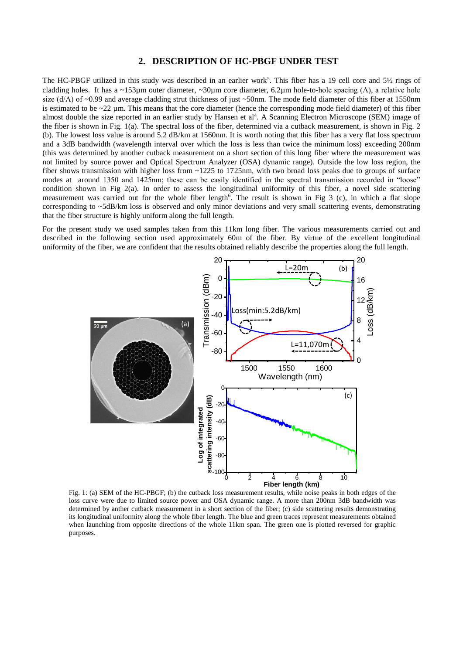## **2. DESCRIPTION OF HC-PBGF UNDER TEST**

The HC-PBGF utilized in this study was described in an earlier work<sup>5</sup>. This fiber has a 19 cell core and 5½ rings of cladding holes. It has a ~153µm outer diameter, ~30µm core diameter, 6.2µm hole-to-hole spacing (Λ), a relative hole size ( $d/\Lambda$ ) of ~0.99 and average cladding strut thickness of just ~50nm. The mode field diameter of this fiber at 1550nm is estimated to be  $\sim$ 22 µm. This means that the core diameter (hence the corresponding mode field diameter) of this fiber almost double the size reported in an earlier study by Hansen et al<sup>4</sup>. A Scanning Electron Microscope (SEM) image of the fiber is shown in Fig. 1(a). The spectral loss of the fiber, determined via a cutback measurement, is shown in Fig. 2 (b). The lowest loss value is around 5.2 dB/km at 1560nm. It is worth noting that this fiber has a very flat loss spectrum and a 3dB bandwidth (wavelength interval over which the loss is less than twice the minimum loss) exceeding 200nm (this was determined by another cutback measurement on a short section of this long fiber where the measurement was not limited by source power and Optical Spectrum Analyzer (OSA) dynamic range). Outside the low loss region, the fiber shows transmission with higher loss from ~1225 to 1725nm, with two broad loss peaks due to groups of surface modes at around 1350 and 1425nm; these can be easily identified in the spectral transmission recorded in "loose" condition shown in Fig 2(a). In order to assess the longitudinal uniformity of this fiber, a novel side scattering measurement was carried out for the whole fiber length<sup>6</sup>. The result is shown in Fig 3 (c), in which a flat slope corresponding to ~5dB/km loss is observed and only minor deviations and very small scattering events, demonstrating that the fiber structure is highly uniform along the full length.

For the present study we used samples taken from this 11km long fiber. The various measurements carried out and described in the following section used approximately 60m of the fiber. By virtue of the excellent longitudinal uniformity of the fiber, we are confident that the results obtained reliably describe the properties along the full length.



Fig. 1: (a) SEM of the HC-PBGF; (b) the cutback loss measurement results, while noise peaks in both edges of the loss curve were due to limited source power and OSA dynamic range. A more than 200nm 3dB bandwidth was determined by anther cutback measurement in a short section of the fiber; (c) side scattering results demonstrating its longitudinal uniformity along the whole fiber length. The blue and green traces represent measurements obtained when launching from opposite directions of the whole 11km span. The green one is plotted reversed for graphic purposes.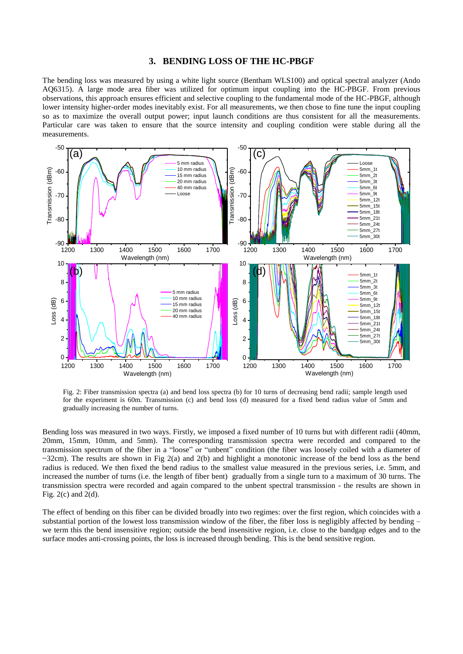## **3. BENDING LOSS OF THE HC-PBGF**

The bending loss was measured by using a white light source (Bentham WLS100) and optical spectral analyzer (Ando AQ6315). A large mode area fiber was utilized for optimum input coupling into the HC-PBGF. From previous observations, this approach ensures efficient and selective coupling to the fundamental mode of the HC-PBGF, although lower intensity higher-order modes inevitably exist. For all measurements, we then chose to fine tune the input coupling so as to maximize the overall output power; input launch conditions are thus consistent for all the measurements. Particular care was taken to ensure that the source intensity and coupling condition were stable during all the measurements.



Fig. 2: Fiber transmission spectra (a) and bend loss spectra (b) for 10 turns of decreasing bend radii; sample length used for the experiment is 60m. Transmission (c) and bend loss (d) measured for a fixed bend radius value of 5mm and gradually increasing the number of turns.

Bending loss was measured in two ways. Firstly, we imposed a fixed number of 10 turns but with different radii (40mm, 20mm, 15mm, 10mm, and 5mm). The corresponding transmission spectra were recorded and compared to the transmission spectrum of the fiber in a "loose" or "unbent" condition (the fiber was loosely coiled with a diameter of  $\sim$ 32cm). The results are shown in Fig 2(a) and 2(b) and highlight a monotonic increase of the bend loss as the bend radius is reduced. We then fixed the bend radius to the smallest value measured in the previous series, i.e. 5mm, and increased the number of turns (i.e. the length of fiber bent) gradually from a single turn to a maximum of 30 turns. The transmission spectra were recorded and again compared to the unbent spectral transmission - the results are shown in Fig.  $2(c)$  and  $2(d)$ .

The effect of bending on this fiber can be divided broadly into two regimes: over the first region, which coincides with a substantial portion of the lowest loss transmission window of the fiber, the fiber loss is negligibly affected by bending – we term this the bend insensitive region; outside the bend insensitive region, i.e. close to the bandgap edges and to the surface modes anti-crossing points, the loss is increased through bending. This is the bend sensitive region.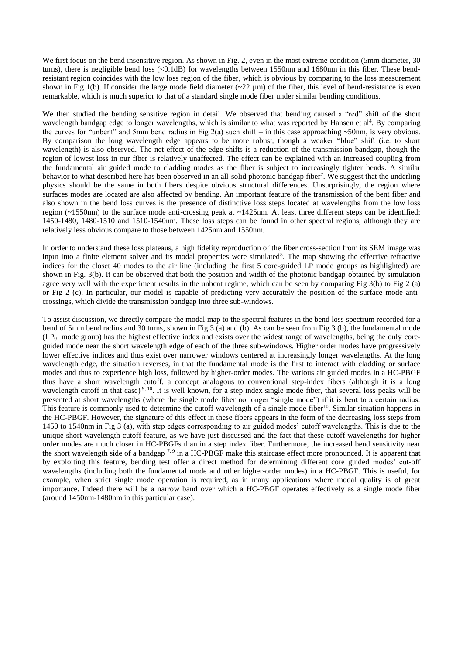We first focus on the bend insensitive region. As shown in Fig. 2, even in the most extreme condition (5mm diameter, 30) turns), there is negligible bend loss (<0.1dB) for wavelengths between 1550nm and 1680nm in this fiber. These bendresistant region coincides with the low loss region of the fiber, which is obvious by comparing to the loss measurement shown in Fig 1(b). If consider the large mode field diameter  $(\sim 22 \text{ µm})$  of the fiber, this level of bend-resistance is even remarkable, which is much superior to that of a standard single mode fiber under similar bending conditions.

We then studied the bending sensitive region in detail. We observed that bending caused a "red" shift of the short wavelength bandgap edge to longer wavelengths, which is similar to what was reported by Hansen et  $al<sup>4</sup>$ . By comparing the curves for "unbent" and 5mm bend radius in Fig 2(a) such shift – in this case approaching  $\sim$ 50nm, is very obvious. By comparison the long wavelength edge appears to be more robust, though a weaker "blue" shift (i.e. to short wavelength) is also observed. The net effect of the edge shifts is a reduction of the transmission bandgap, though the region of lowest loss in our fiber is relatively unaffected. The effect can be explained with an increased coupling from the fundamental air guided mode to cladding modes as the fiber is subject to increasingly tighter bends. A similar behavior to what described here has been observed in an all-solid photonic bandgap fiber<sup>7</sup>. We suggest that the underling physics should be the same in both fibers despite obvious structural differences. Unsurprisingly, the region where surfaces modes are located are also affected by bending. An important feature of the transmission of the bent fiber and also shown in the bend loss curves is the presence of distinctive loss steps located at wavelengths from the low loss region (~1550nm) to the surface mode anti-crossing peak at ~1425nm. At least three different steps can be identified: 1450-1480, 1480-1510 and 1510-1540nm. These loss steps can be found in other spectral regions, although they are relatively less obvious compare to those between 1425nm and 1550nm.

In order to understand these loss plateaus, a high fidelity reproduction of the fiber cross-section from its SEM image was input into a finite element solver and its modal properties were simulated<sup>8</sup>. The map showing the effective refractive indices for the closet 40 modes to the air line (including the first 5 core-guided LP mode groups as highlighted) are shown in Fig. 3(b). It can be observed that both the position and width of the photonic bandgap obtained by simulation agree very well with the experiment results in the unbent regime, which can be seen by comparing Fig  $3(b)$  to Fig  $2(a)$ or Fig 2 (c). In particular, our model is capable of predicting very accurately the position of the surface mode anticrossings, which divide the transmission bandgap into three sub-windows.

To assist discussion, we directly compare the modal map to the spectral features in the bend loss spectrum recorded for a bend of 5mm bend radius and 30 turns, shown in Fig 3 (a) and (b). As can be seen from Fig 3 (b), the fundamental mode  $(LP<sub>01</sub>$  mode group) has the highest effective index and exists over the widest range of wavelengths, being the only coreguided mode near the short wavelength edge of each of the three sub-windows. Higher order modes have progressively lower effective indices and thus exist over narrower windows centered at increasingly longer wavelengths. At the long wavelength edge, the situation reverses, in that the fundamental mode is the first to interact with cladding or surface modes and thus to experience high loss, followed by higher-order modes. The various air guided modes in a HC-PBGF thus have a short wavelength cutoff, a concept analogous to conventional step-index fibers (although it is a long wavelength cutoff in that case)<sup>9, 10</sup>. It is well known, for a step index single mode fiber, that several loss peaks will be presented at short wavelengths (where the single mode fiber no longer "single mode") if it is bent to a certain radius. This feature is commonly used to determine the cutoff wavelength of a single mode fiber<sup>10</sup>. Similar situation happens in the HC-PBGF. However, the signature of this effect in these fibers appears in the form of the decreasing loss steps from 1450 to 1540nm in Fig 3 (a), with step edges corresponding to air guided modes' cutoff wavelengths. This is due to the unique short wavelength cutoff feature, as we have just discussed and the fact that these cutoff wavelengths for higher order modes are much closer in HC-PBGFs than in a step index fiber. Furthermore, the increased bend sensitivity near the short wavelength side of a bandgap  $^{7,9}$  in a HC-PBGF make this staircase effect more pronounced. It is apparent that by exploiting this feature, bending test offer a direct method for determining different core guided modes' cut-off wavelengths (including both the fundamental mode and other higher-order modes) in a HC-PBGF. This is useful, for example, when strict single mode operation is required, as in many applications where modal quality is of great importance. Indeed there will be a narrow band over which a HC-PBGF operates effectively as a single mode fiber (around 1450nm-1480nm in this particular case).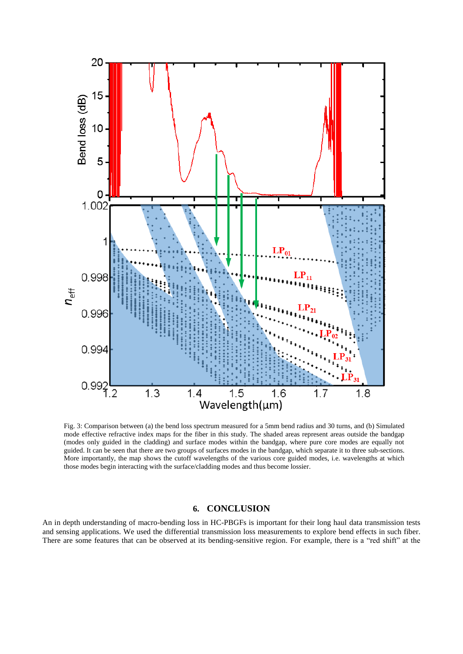

mode effective refractive index maps for the fiber in this study. The shaded areas represent areas outside the bandgap (modes only guided in the cladding) and surface modes within the bandgap, where pure core modes are equally not guided. It can be seen that there are two groups of surfaces modes in the bandgap, which separate it to three sub-sections. More importantly, the map shows the cutoff wavelengths of the various core guided modes, i.e. wavelengths at which those modes begin interacting with the surface/cladding modes and thus become lossier.

## **6. CONCLUSION**

An in depth understanding of macro-bending loss in HC-PBGFs is important for their long haul data transmission tests and sensing applications. We used the differential transmission loss measurements to explore bend effects in such fiber. There are some features that can be observed at its bending-sensitive region. For example, there is a "red shift" at the